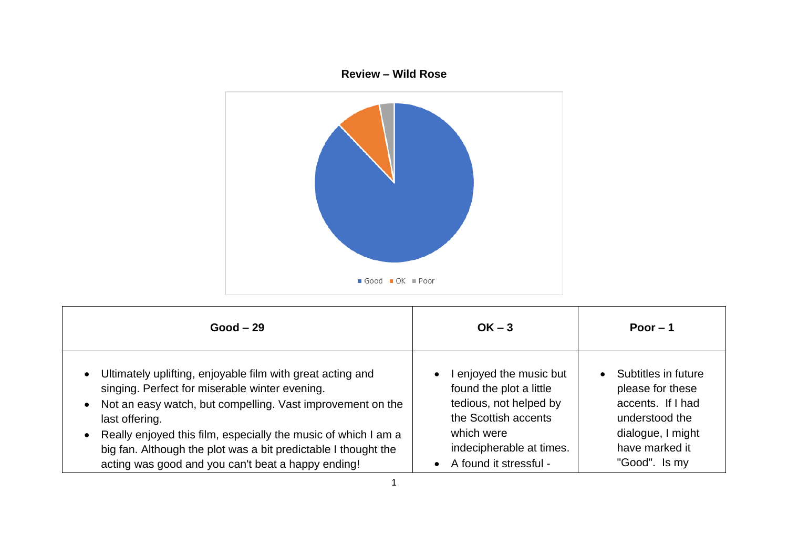

| $Good - 29$                                                    | $OK - 3$                 | Poor $-1$           |
|----------------------------------------------------------------|--------------------------|---------------------|
| • Ultimately uplifting, enjoyable film with great acting and   | enjoyed the music but    | Subtitles in future |
| singing. Perfect for miserable winter evening.                 | found the plot a little  | please for these    |
| Not an easy watch, but compelling. Vast improvement on the     | tedious, not helped by   | accents. If I had   |
| last offering.                                                 | the Scottish accents     | understood the      |
| Really enjoyed this film, especially the music of which I am a | which were               | dialogue, I might   |
| big fan. Although the plot was a bit predictable I thought the | indecipherable at times. | have marked it      |
| acting was good and you can't beat a happy ending!             | • A found it stressful - | "Good". Is my       |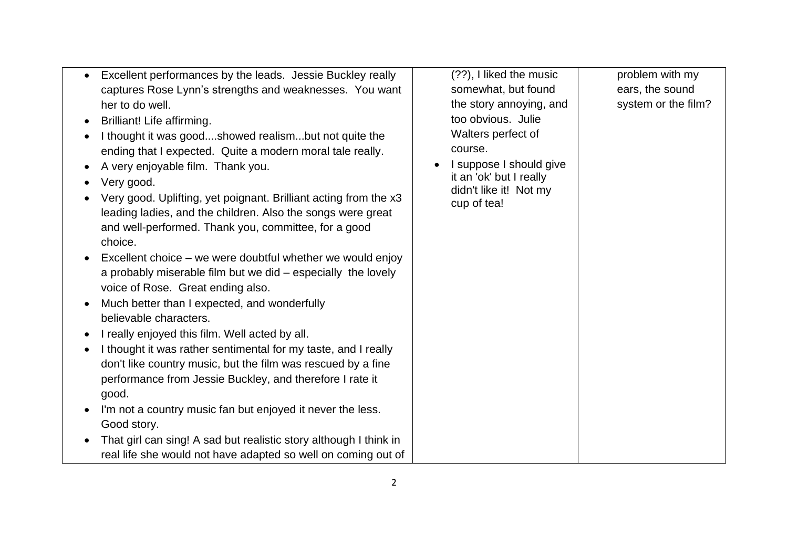| Excellent performances by the leads. Jessie Buckley really<br>$\bullet$                                                                                                                                                                                                                                                                                                                                                                                                                                                                                                                                                                                                                                                                                                                                                                                                 | (??), I liked the music                                                                                                      | problem with my     |
|-------------------------------------------------------------------------------------------------------------------------------------------------------------------------------------------------------------------------------------------------------------------------------------------------------------------------------------------------------------------------------------------------------------------------------------------------------------------------------------------------------------------------------------------------------------------------------------------------------------------------------------------------------------------------------------------------------------------------------------------------------------------------------------------------------------------------------------------------------------------------|------------------------------------------------------------------------------------------------------------------------------|---------------------|
| captures Rose Lynn's strengths and weaknesses. You want                                                                                                                                                                                                                                                                                                                                                                                                                                                                                                                                                                                                                                                                                                                                                                                                                 | somewhat, but found                                                                                                          | ears, the sound     |
| her to do well.                                                                                                                                                                                                                                                                                                                                                                                                                                                                                                                                                                                                                                                                                                                                                                                                                                                         | the story annoying, and                                                                                                      | system or the film? |
| Brilliant! Life affirming.                                                                                                                                                                                                                                                                                                                                                                                                                                                                                                                                                                                                                                                                                                                                                                                                                                              | too obvious. Julie                                                                                                           |                     |
| I thought it was goodshowed realismbut not quite the<br>ending that I expected. Quite a modern moral tale really.<br>A very enjoyable film. Thank you.<br>Very good.<br>Very good. Uplifting, yet poignant. Brilliant acting from the x3<br>leading ladies, and the children. Also the songs were great<br>and well-performed. Thank you, committee, for a good<br>choice.<br>Excellent choice – we were doubtful whether we would enjoy<br>a probably miserable film but we did – especially the lovely<br>voice of Rose. Great ending also.<br>Much better than I expected, and wonderfully<br>believable characters.<br>I really enjoyed this film. Well acted by all.<br>I thought it was rather sentimental for my taste, and I really<br>don't like country music, but the film was rescued by a fine<br>performance from Jessie Buckley, and therefore I rate it | Walters perfect of<br>course.<br>I suppose I should give<br>it an 'ok' but I really<br>didn't like it! Not my<br>cup of tea! |                     |
| good.                                                                                                                                                                                                                                                                                                                                                                                                                                                                                                                                                                                                                                                                                                                                                                                                                                                                   |                                                                                                                              |                     |
| I'm not a country music fan but enjoyed it never the less.<br>Good story.                                                                                                                                                                                                                                                                                                                                                                                                                                                                                                                                                                                                                                                                                                                                                                                               |                                                                                                                              |                     |
| That girl can sing! A sad but realistic story although I think in                                                                                                                                                                                                                                                                                                                                                                                                                                                                                                                                                                                                                                                                                                                                                                                                       |                                                                                                                              |                     |
| real life she would not have adapted so well on coming out of                                                                                                                                                                                                                                                                                                                                                                                                                                                                                                                                                                                                                                                                                                                                                                                                           |                                                                                                                              |                     |